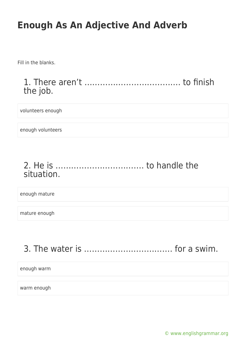Fill in the blanks.

1. There aren't ………………………………. to finish the job.

volunteers enough

enough volunteers

### 2. He is ……………………………. to handle the situation.

enough mature

mature enough

# 3. The water is ……………………………. for a swim.

enough warm

warm enough

[© www.englishgrammar.org](https://www.englishgrammar.org/)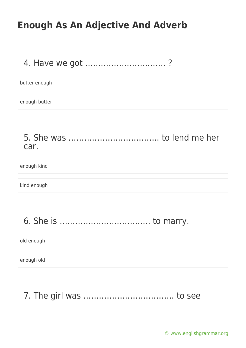### 4. Have we got …………………………. ?

butter enough

enough butter

5. She was …………………………….. to lend me her car.

enough kind

kind enough

6. She is …………………………….. to marry.

old enough

enough old

7. The girl was …………………………….. to see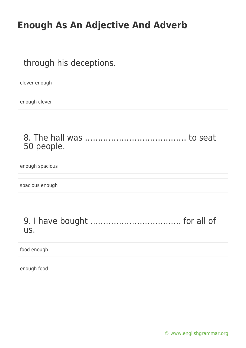### through his deceptions.

clever enough

enough clever

#### 8. The hall was ………………………………… to seat 50 people.

enough spacious

spacious enough

#### 9. I have bought …………………………….. for all of us.

food enough

enough food

[© www.englishgrammar.org](https://www.englishgrammar.org/)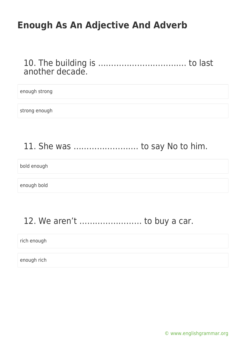#### 10. The building is ……………………………. to last another decade.

#### enough strong

strong enough

## 11. She was ……………………. to say No to him.

bold enough

enough bold

## 12. We aren't …………………… to buy a car.

#### rich enough

enough rich

[© www.englishgrammar.org](https://www.englishgrammar.org/)